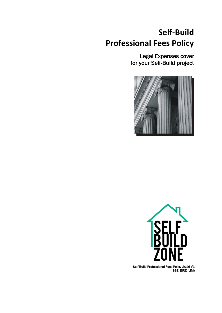# **Self-Build Professional Fees Policy**

Legal Expenses cover for your Self-Build project





Self Build Professional Fees Policy 2016 V1 SBZ\_EIRE (LIM)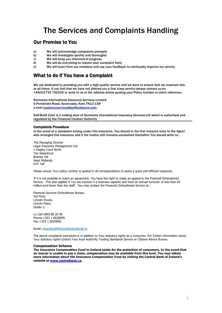### The Services and Complaints Handling

### Our Promise to You

- a) We will acknowledge complaints promptly
- b) We will investigate quickly and thoroughly
- c) We will keep you informed of progress
- d) We will do everything to resolve your complaint fairly
- e) We will learn from our mistakes and use your feedback to continually improve our service

### What to do if You have a Complaint

We are dedicated to providing you with a high quality service and we want to ensure that we maintain this at all times. If you feel that we have not offered you a first class service please contact us on +44(0)1732 742102 or write to us at the address below quoting your Policy number or claim reference:

Sennocke International Insurance Services Limited 6 Pembroke Road, Sevenoaks, Kent TN13 1XR e-mail [customerservices@selfbuildzone.com](mailto:customerservices@selfbuildzone.com)

Self-Build Zone is a trading style of Sennocke International Insurance Services Ltd which is authorised and regulated by the Financial Conduct Authority

#### Complaints Procedure

٦

In the event of a complaint arising under this insurance, You should in the first instance write to the Agent who arranged this insurance and if the matter still remains unresolved thereafter You should write to:-

The Managing Director Legal Insurance Management Ltd 1 Hagley Court North The Waterfront Brierley Hill West Midlands DY5 1XF

Please ensure Your policy number is quoted in all correspondence to assist a quick and efficient response.

If it is not possible to reach an agreement, You have the right to make an appeal to the Financial Ombudsman Service. This also applies if You are insured in a business capacity and have an annual turnover of less than €2 million and fewer than ten staff. You may contact the Financial Ombudsman Service at:-

Financial Services Ombudsman Bureau 3rd Floor, Lincoln House, Lincoln Place, Dublin 2.

Lo Call:1890 88 20 90 Phone:+353 1 6620899 Fax:+353 1 6620890

Email: [enquiries@financialombudsman.ie](mailto:enquiries@financialombudsman.ie)

The above complaints procedure is in addition to Your statutory rights as a consumer. For further information about Your statutory rights contact Your local Authority Trading Standards Service or Citizens Advice Bureau.

#### **Compensation Scheme**

**The Insurance Compensation Fund in Ireland exists for the protection of consumers. In the event that an insurer is unable to pay a claim, compensation may be available from this fund. You may obtain more information about the Insurance Compensation Fund by visiting the Central Bank of Ireland's website at [www.centralbank.i.e.](http://www.centralbank.i.e/)**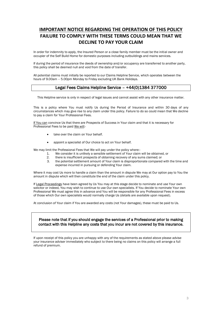### **IMPORTANT NOTICE REGARDING THE OPERATION OF THIS POLICY FAILURE TO COMPLY WITH THESE TERMS COULD MEAN THAT WE DECLINE TO PAY YOUR CLAIM**

In order for indemnity to apply, the Insured Person or a close family member must be the initial owner and occupier of the Self Build Home for domestic purposes including outbuildings and mains services.

If during the period of insurance the deeds of ownership and/or occupancy are transferred to another party, this policy shall be deemed null and void from the date of transfer.

All potential claims must initially be reported to our Claims Helpline Service, which operates between the hours of 9.00am – 5.00pm Monday to Friday excluding UK Bank Holidays.

### Legal Fees Claims Helpline Service – +44(0)1384 377000

This Helpline service is only in respect of legal issues and cannot assist with any other insurance matter.

This is a policy where You must notify Us during the Period of Insurance and within 30 days of any circumstances which may give rise to any claim under this policy. Failure to do so could mean that We decline to pay a claim for Your Professional Fees.

If You can convince Us that there are Prospects of Success in Your claim and that it is necessary for Professional Fees to be paid We will:-

- take over the claim on Your behalf.
- appoint a specialist of Our choice to act on Your behalf.

We may limit the Professional Fees that We will pay under the policy where:-

- 1. We consider it is unlikely a sensible settlement of Your claim will be obtained, or
- 2. there is insufficient prospects of obtaining recovery of any sums claimed; or 3. the potential settlement amount of Your claim is disproportionate compared
- the potential settlement amount of Your claim is disproportionate compared with the time and expense incurred in pursuing or defending Your claim.

Where it may cost Us more to handle a claim than the amount in dispute We may at Our option pay to You the amount in dispute which will then constitute the end of the claim under this policy.

If Legal Proceedings have been agreed by Us You may at this stage decide to nominate and use Your own solicitor or indeed, You may wish to continue to use Our own specialists. If You decide to nominate Your own Professional We must agree this in advance and You will be responsible for any Professional Fees in excess of those which Our own specialists would normally charge Us (details are available upon request).

At conclusion of Your claim if You are awarded any costs (not Your damages), these must be paid to Us.

### Please note that if you should engage the services of a Professional prior to making contact with this Helpline any costs that you incur are not covered by this insurance.

If upon receipt of this policy you are unhappy with any of the requirements as stated above please advise your insurance adviser immediately who subject to there being no claims on this policy will arrange a full refund of premium.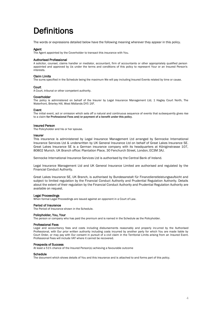# **Definitions**

The words or expressions detailed below have the following meaning wherever they appear in this policy.

#### Agent

The Agent appointed by the Coverholder to transact this insurance with You.

#### Authorised Professional

A solicitor, counsel, claims handler or mediator, accountant, firm of accountants or other appropriately qualified person appointed and approved by Us under the terms and conditions of this policy to represent Your or an Insured Person's interests.

#### Claim Limits

The sums specified in the Schedule being the maximum We will pay including Insured Events related by time or cause.

#### **Court**

A Court, tribunal or other competent authority.

#### Coverholder

The policy is administered on behalf of the Insurer by Legal Insurance Management Ltd, 1 Hagley Court North, The Waterfront, Brierley Hill, West Midlands DY5 1XF.

#### Event

The initial event, act or omission which sets off a natural and continuous sequence of events that subsequently gives rise to a claim for Professional Fees and/or payment of a benefit under this policy.

#### Insured Person

The Policyholder and his or her spouse.

#### Insurer

This insurance is administered by Legal Insurance Management Ltd arranged by Sennocke International Insurance Services Ltd & underwritten by UK General Insurance Ltd on behalf of Great Lakes Insurance SE. Great Lakes Insurance SE is a German insurance company with its headquarters at Königinstrasse 107, 80802 Munich. UK Branch office: Plantation Place, 30 Fenchurch Street, London, EC3M 3AJ.

Sennocke International Insurance Services Ltd is authorised by the Central Bank of Ireland.

Legal Insurance Management Ltd and UK General Insurance Limited are authorised and regulated by the Financial Conduct Authority.

Great Lakes Insurance SE, UK Branch, is authorised by Bundesanstalt für Finanzdienstleistungsaufsicht and subject to limited regulation by the Financial Conduct Authority and Prudential Regulation Authority. Details about the extent of their regulation by the Financial Conduct Authority and Prudential Regulation Authority are available on request.

#### Legal Proceedings

When formal Legal Proceedings are issued against an opponent in a Court of Law.

#### Period of Insurance

The Period of Insurance shown in the Schedule.

#### Policyholder, You, Your

The person or company who has paid the premium and is named in the Schedule as the Policyholder.

#### Professional Fees

Legal and accountancy fees and costs including disbursements reasonably and properly incurred by the Authorised Professional, with Our prior written authority including costs incurred by another party for which You are made liable by Court Order, or may pay with Our consent in pursuit of a civil claim in the Territorial Limits arising from an Insured Event. Professional Fees will include VAT where it cannot be recovered.

#### Prospects of Success

At least a 51% chance of the Insured Person(s) achieving a favourable outcome

#### **Schedule**

The document which shows details of You and this insurance and is attached to and forms part of this policy.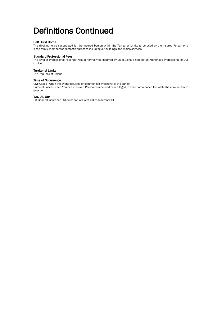# Definitions Continued

#### Self Build Home

The dwelling to be constructed for the Insured Person within the Territorial Limits to be used by the Insured Person or a close family member for domestic purposes including outbuildings and mains services.

#### Standard Professional Fees

The level of Professional Fees that would normally be incurred by Us in using a nominated Authorised Professional of Our choice.

#### Territorial Limits

The Republic of Ireland.

#### Time of Occurrence

Civil Cases - when the Event occurred or commenced whichever is the earlier. Criminal Cases - when You or an Insured Person commenced or is alleged to have commenced to violate the criminal law in question.

#### We, Us, Our

UK General Insurance Ltd on behalf of Great Lakes Insurance SE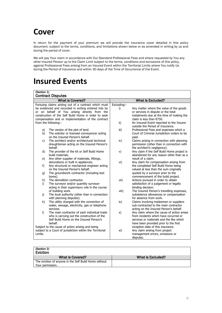## **Cover**

In return for the payment of your premium we will provide the insurance cover detailed in this policy document, subject to the terms, conditions, and limitations shown below or as amended in writing by us and during the period of cover.

We will pay Your claim in accordance with Our Standard Professional Fees and where requested by You any other Insured Person up to the Claim Limit subject to the terms, conditions and exclusions of this policy, against Professional Fees arising from an Insured Event within the Territorial Limits where You notify Us during the Period of Insurance and within 30 days of the Time of Occurrence of the Event.

### **Insured Events**

| (Section 1)<br><b>Contract Disputes</b>                                                                       |                                                                     |                          |                                                                                     |  |
|---------------------------------------------------------------------------------------------------------------|---------------------------------------------------------------------|--------------------------|-------------------------------------------------------------------------------------|--|
| <b>What is Covered?</b>                                                                                       |                                                                     | <b>What is Excluded?</b> |                                                                                     |  |
| Pursuing claims arising out of a contract which must                                                          |                                                                     | Excluding:-              |                                                                                     |  |
| be evidenced and recorded in writing entered into by                                                          |                                                                     | i)                       | Any matter where the value of the goods                                             |  |
| or on behalf of You arising directly from the                                                                 |                                                                     |                          | or services in dispute or the total                                                 |  |
| construction of the Self Build Home in order to seek                                                          |                                                                     |                          | instalments due at the time of making the<br>claim is less than $€750.$             |  |
| compensation and or implementation of the contract<br>from the following:-                                    |                                                                     | ii)                      | An Insured Event reported to the Insurer                                            |  |
|                                                                                                               |                                                                     |                          | outside the Period of Insurance.                                                    |  |
| a)                                                                                                            | The vendor of the plot of land.                                     | iii)                     | Professional Fees and expenses which a                                              |  |
| b)                                                                                                            | The solicitor or licensed conveyancer acting                        |                          | Court of Criminal Jurisdiction orders to be                                         |  |
|                                                                                                               | on the Insured Person's behalf.                                     |                          | paid.                                                                               |  |
| C)                                                                                                            | The architect and/or architectural technical                        | iv)                      | Claims arising in connection with planning                                          |  |
|                                                                                                               | draughtsman acting on the Insured Person's<br>behalf.               |                          | permission (other than in connection with                                           |  |
| d)                                                                                                            | The provider of the kit or Self Build Home                          | v)                       | the architect's negligence).<br>Any claim if the Self Build Home project is         |  |
|                                                                                                               | build materials.                                                    |                          | abandoned for any reason other than as a                                            |  |
| e)                                                                                                            | Any other supplier of materials, fittings,                          |                          | result of a claim.                                                                  |  |
|                                                                                                               | decorations or built in appliances.                                 | vi)                      | Any claim for compensation arising from                                             |  |
| f)                                                                                                            | Any structural or mechanical engineer acting                        |                          | the completed Self Build Home being                                                 |  |
|                                                                                                               | on the Insured Person's behalf.                                     |                          | valued at less than the sum originally                                              |  |
| q)                                                                                                            | The groundwork contractor (including test                           |                          | quoted by a surveyor prior to the                                                   |  |
|                                                                                                               | bores).                                                             |                          | commencement of the build project.                                                  |  |
| h)                                                                                                            | The demolition contractor.                                          | vii)                     | Actions pursued in order to obtain                                                  |  |
| i)                                                                                                            | The surveyor and/or quantity surveyor                               |                          | satisfaction of a judgement or legally                                              |  |
|                                                                                                               | acting in their supervisory role in the course<br>of building work. |                          | binding decision.                                                                   |  |
| j)                                                                                                            | The local authority (other than in connection                       | viii)                    | The Insured Person's travelling expenses,<br>subsistence allowances or compensation |  |
|                                                                                                               | with planning disputes).                                            |                          | for absence from work.                                                              |  |
| k)                                                                                                            | The utility charged with the connection of                          | ix)                      | Claims involving tradesmen or suppliers                                             |  |
|                                                                                                               | water, sewage, electricity, gas or telephone                        |                          | sub-contracted to the main contractor                                               |  |
|                                                                                                               | services.                                                           |                          | acting on the Insured Person's behalf.                                              |  |
| $\vert$ )                                                                                                     | The main contractor of each individual trade                        | x)                       | Any claim where the cause of action arises                                          |  |
|                                                                                                               | who is carrying out the construction of the                         |                          | from incidents which have occurred or                                               |  |
|                                                                                                               | Self Build Home on the Insured Person's                             |                          | services or materials and the like which                                            |  |
| behalf.                                                                                                       |                                                                     |                          | have been provided prior to the first                                               |  |
| Subject to the cause of action arising and being<br>subject to a Court of jurisdiction within the Territorial |                                                                     |                          | inception date of this insurance.<br>Any claim arising from project                 |  |
| Limits.                                                                                                       |                                                                     | xi)                      | management errors, omissions or                                                     |  |
|                                                                                                               |                                                                     |                          | disputes.                                                                           |  |
|                                                                                                               |                                                                     |                          |                                                                                     |  |

| (Section 2)<br>Eviction                                                   |                   |
|---------------------------------------------------------------------------|-------------------|
| What is Covered?                                                          | What is Excluded? |
| The eviction of anyone in the Self Build Home without<br>Your permission. |                   |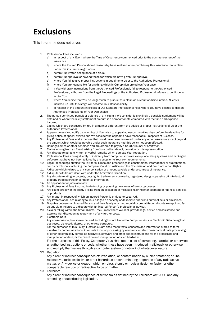## **Exclusions**

This insurance does not cover: -

- 1. Professional Fees incurred:
	- a) in respect of any Event where the Time of Occurrence commenced prior to the commencement of the insurance.
	- b) where the Insured Person should reasonably have realised when purchasing this insurance that a claim under this insurance might occur.
	- c) before Our written acceptance of a claim.
	- d) before Our approval or beyond those for which We have given Our approval.
	- e) where You fail to give proper instructions in due time to Us or to the Authorised Professional.
	- f) where You are responsible for anything which in Our opinion prejudices Your case.
	- g) if You withdraw instructions from the Authorised Professional, fail to respond to the Authorised Professional, withdraw from the Legal Proceedings or the Authorised Professional refuses to continue to act for You.
	- h) where You decide that You no longer wish to pursue Your claim as a result of disinclination. All costs incurred up until this stage will become Your Responsibility.
	- i) in respect of the amount in excess of Our Standard Professional Fees where You have elected to use an Authorised Professional of Your own choice.
- 2. The pursuit continued pursuit or defence of any claim if We consider it is unlikely a sensible settlement will be obtained or where the likely settlement amount is disproportionate compared with the time and expense incurred.
- 3. Claims which are conducted by You in a manner different from the advice or proper instructions of Us or the Authorised Professional.
- 4. Appeals unless You notify Us in writing of Your wish to appeal at least six working days before the deadline for giving notice of appeal expires and We consider the appeal to have reasonable Prospects of Success.
- 5. Any Professional Fees and expenses that could have been recovered under any other insurance except beyond the amount which would be payable under such insurance had this policy not been effected.
- 6. Damages, fines or other penalties You are ordered to pay by a Court, tribunal or arbitrator.
- 7. Claims arising from an Event arising from Your deliberate act, omission or misrepresentation.
- 8. Any dispute relating to written or verbal remarks which damage Your reputation.
- 9. Professional Fees arising directly or indirectly from computer software except operating systems and packaged software that have not been tailored by the supplier to Your own requirements.
- 10. Legal Proceedings outside the Territorial Limits and proceedings in constitutional international or supranational courts or tribunals including the European Court of Justice and the Commission and Court of Human Rights.
- 11. A dispute which relates to any compensation or amount payable under a contract of insurance.
- 12. A dispute with Us not dealt with under the Arbitration Condition.
- 13. Any dispute relating to patents, copyrights, trade or service marks, registered designs, passing off intellectual property trade secrets or confidential information.
- 14. An application for judicial review.
- 15. Any Professional Fees incurred in defending or pursuing new areas of law or test cases.
- 16. Any claim directly or indirectly arising from an allegation of miss-selling or mismanagement of financial services or products.
- 17. Any matter in respect of which an Insured Person is entitled to Legal Aid.
- 18. Any Professional Fees relating to Your alleged dishonesty or deliberate and wilful criminal acts or omissions.
- 19. Disputes between an Insured Person and their family or a matrimonial or co-habitation dispute except in so far as any claim relates to a dispute with an Insured Person's professional advisor.
- 20. A claim falling within the Small Claims Track limits where We shall provide legal advice and assistance and exercise Our discretion as to payment of any further costs.
- 21. Electronic Data

Any consequence, howsoever caused, including but not limited to Computer Virus in Electronic Data being lost, destroyed, distorted, altered, or otherwise corrupted.

For the purposes of this Policy, Electronic Data shall mean facts, concepts and information stored to form useable for communications, interpretations, or processing by electronic or electromechanical data processing or other electronically controlled hardware, software and other coded instructions for the processing and manipulation of data, or the direction and manipulation of such hardware.

For the purposes of this Policy, Computer Virus shall mean a set of corrupting, harmful, or otherwise unauthorised instructions or code, whether these have been introduced maliciously or otherwise, and multiply themselves through a computer system or network of whatsoever nature.

22. Radiation

Any direct or indirect consequence of: Irradiation, or contamination by nuclear material; or The radioactive, toxic, explosive or other hazardous or contaminating properties of any radioactive matter; or Any device or weapon which employs atomic or nuclear fission or fusion or other comparable reaction or radioactive force or matter.

23. Terrorism

Any direct or indirect consequence of terrorism as defined by the Terrorism Act 2000 and any amending or substituting legislation.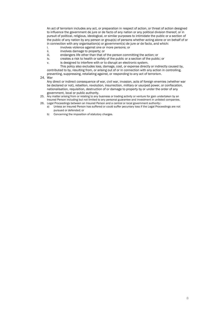An act of terrorism includes any act, or preparation in respect of action, or threat of action designed to influence the government de jure or de facto of any nation or any political division thereof, or in pursuit of political, religious, ideological, or similar purposes to intimidate the public or a section of the public of any nation by any person or group(s) of persons whether acting alone or on behalf of or in connection with any organisation(s) or government(s) de jure or de facto, and which:

- i. involves violence against one or more persons; or
- ii. involves damage to property; or
- iii. endangers life other than that of the person committing the action; or
- creates a risk to health or safety of the public or a section of the public; or
- v. is designed to interfere with or to disrupt an electronic system.

This policy also excludes loss, damage, cost, or expense directly or indirectly caused by, contributed to by, resulting from, or arising out of or in connection with any action in controlling, preventing, suppressing, retaliating against, or responding to any act of terrorism.

24. War

Any direct or indirect consequence of war, civil war, invasion, acts of foreign enemies (whether war be declared or not), rebellion, revolution, insurrection, military or usurped power, or confiscation, nationalisation, requisition, destruction of or damage to property by or under the order of any government, local or public authority.

- 25. Any matter arising from or relating to any business or trading activity or venture for gain undertaken by an Insured Person including but not limited to any personal guarantee and investment in unlisted companies. 26. Legal Proceedings between an Insured Person and a central or local government authority:
	- a) Unless an Insured Person has suffered or could suffer pecuniary loss if the Legal Proceedings are not pursued or defended; or
	- b) Concerning the imposition of statutory charges.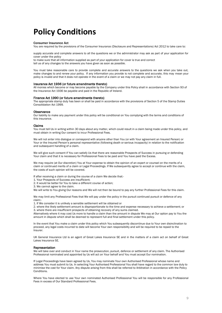## **Policy Conditions**

#### Consumer Insurance Act

You are required by the provisions of the Consumer Insurance (Disclosure and Representations) Act 2012 to take care to:

supply accurate and complete answers to all the questions we or the administrator may ask as part of your application for cover under the policy

to make sure that all information supplied as part of your application for cover is true and correct tell us of any changes to the answers you have given as soon as possible.

You must take reasonable care to provide complete and accurate answers to the questions we ask when you take out, make changes to and renew your policy. If any information you provide is not complete and accurate, this may mean your policy is invalid and that it does not operate in the event of a claim or we may not pay any claim in full.

#### Insurance Act 1936 (or future amendments thereto)

All monies which become or may become payable by the Company under this Policy shall in accordance with Section 93 of the Insurance Act 1936 be payable and paid in the Republic of Ireland.

#### Finance Act 1990 (or future amendments thereto)

The appropriate stamp duty has been or shall be paid in accordance with the provisions of Section 5 of the Stamp Duties Consolidation Act 1999.

#### **Observance**

Our liability to make any payment under this policy will be conditional on You complying with the terms and conditions of this insurance.

#### Claims

You must tell Us in writing within 30 days about any matter, which could result in a claim being made under this policy, and must obtain in writing Our consent to incur Professional Fees.

We will not enter into dialogue or correspond with anyone other than You (or with Your agreement an Insured Person) or Your or the Insured Person's personal representative (following death or serious incapacity) in relation to the notification and subsequent handling of a claim.

We will give such consent if You can satisfy Us that there are reasonable Prospects of Success in pursuing or defending Your claim and that it is necessary for Professional Fees to be paid and You have paid the Excess.

We may require (at Our discretion) You at Your expense to obtain the opinion of an expert or counsel on the merits of a claim or continued merits of a claim or Legal Proceedings. If We subsequently agree to accept or continue with the claim, the costs of such opinion will be covered.

If after receiving a claim or during the course of a claim We decide that:-

- 1. Your Prospects of Success are insufficient;
- 2. It would be better for You to take a different course of action;
- 3. We cannot agree to the claim.

We will write to You giving Our reasons and We will not then be bound to pay any further Professional Fees for this claim.

We may limit any Professional Fees that We will pay under the policy in the pursuit continued pursuit or defence of any claim:-

1. If We consider it is unlikely a sensible settlement will be obtained or

2. where the likely settlement amount is disproportionate to the time and expense necessary to achieve a settlement; or 3. where there are insufficient prospects of obtaining recovery of any sums claimed.

Alternatively where it may cost Us more to handle a claim than the amount in dispute We may at Our option pay to You the amount in dispute which shall be deemed to represent full and final settlement under this policy.

In the event that You make a claim under this policy which You subsequently discontinue due to Your own disinclination to proceed, any legal costs incurred to date will become Your own responsibility and will be required to be repaid to the Insurer.

UK General Insurance Ltd is an agent of Great Lakes Insurance SE and in the matters of a claim act on behalf of Great Lakes Insurance SE.

#### Representation

We will take over and conduct in Your name the prosecution, pursuit, defence or settlement of any claim. The Authorised Professional nominated and appointed by Us will act on Your behalf and You must accept Our nomination.

If Legal Proceedings have been agreed by Us, You may nominate Your own Authorised Professional whose name and address You must submit to Us. In selecting Your Authorised Professional You shall have regard to the common law duty to minimise the cost for Your claim. Any dispute arising from this shall be referred to Arbitration in accordance with the Policy Conditions.

Where You have elected to use Your own nominated Authorised Professional You will be responsible for any Professional Fees in excess of Our Standard Professional Fees.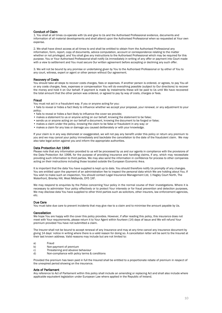#### Conduct of Claim

1. You shall at all times co-operate with Us and give to Us and the Authorised Professional evidence, documents and information of all material developments and shall attend upon the Authorised Professional when so requested at Your own expense.

2. We shall have direct access at all times to and shall be entitled to obtain from the Authorised Professional any information, form, report, copy of documents, advice computation, account or correspondence relating to the matter whether or not privileged, and You shall give any instructions to the Authorised Professional which may be required for this purpose. You or Your Authorised Professional shall notify Us immediately in writing of any offer or payment into Court made with a view to settlement and You must secure Our written agreement before accepting or declining any such offer.

3. We will not be bound by any promise or undertaking given by You to the Authorised Professional or by either of You to any court, witness, expert or agent or other person without Our agreement.

#### Recovery of Costs

You should take all steps to recover costs charges, fees or expenses. If another person is ordered, or agrees, to pay You all or any costs charges, fees, expenses or compensation You will do everything possible (subject to Our directions) to recover the money and hold it on Our behalf. If payment is made by instalments these will be paid to Us until We have recovered the total amount that the other person was ordered, or agreed to pay by way of costs, charges or fees.

#### Fraud

You must not act in a fraudulent way. If you or anyone acting for you:

• fails to reveal or hides a fact likely to influence whether we accept your proposal, your renewal, or any adjustment to your policy;

- fails to reveal or hides a fact likely to influence the cover we provide;
- makes a statement to us or anyone acting on our behalf, knowing the statement to be false;
- sends us or anyone acting on our behalf a document, knowing the document to be forged or false;
- makes a claim under the policy, knowing the claim to be false or fraudulent in any way; or
- makes a claim for any loss or damage you caused deliberately or with your knowledge.

If your claim is in any way dishonest or exaggerated, we will not pay any benefit under this policy or return any premium to you and we may cancel your policy immediately and backdate the cancellation to the date of the fraudulent claim. We may also take legal action against you and inform the appropriate authorities.

#### Data Protection Act 1998

Please note that any information provided to us will be processed by us and our agents in compliance with the provisions of the Data Protection Act 1998, for the purpose of providing insurance and handling claims, if any, which may necessitate providing such information to third parties. We may also send the information in confidence for process to other companies acting on their instructions including those located outside the European Economic Area.

It is important that the data You have supplied is kept up to date. You should therefore notify Us promptly of any changes. You are entitled upon the payment of an administration fee to inspect the personal data which We are holding about You. If You wish to make such an inspection, You should contact Legal Insurance Management Ltd, 1 Hagley Court North, The Waterfront, Brierley Hill, West Midlands, DY5 1XF.

We may respond to enquiries by the Police concerning Your policy in the normal course of their investigations. Where it is necessary to administer Your policy effectively or to protect Your interests or for fraud prevention and detection purposes, We may disclose data You have supplied to other third parties such as solicitors, other insurers, law enforcement agencies, etc.

#### Due Care

You must take due care to prevent incidents that may give rise to a claim and to minimise the amount payable by Us.

#### Cancellation

We hope You are happy with the cover this policy provides. However, if after reading this policy, this insurance does not meet with Your requirements, please return it to Your Agent within fourteen (14) days of issue and We will refund Your premium provided You have not submitted a claim.

The Insurer shall not be bound to accept renewal of any Insurance and may at any time cancel any insurance document by giving 14 days' notice in writing where there is a valid reason for doing so. A cancellation letter will be sent to the Insured at their last known address. Valid reasons may include but are not limited to:

#### a) Fraud

- b) Non-payment of premium
- c) Threatening and abusive behaviour
- d) Non-compliance with policy terms & conditions

Provided the premium has been paid in full the Insured shall be entitled to a proportionate rebate of premium in respect of the unexpired period showing on the insurance.

#### Acts of Parliament

Any reference to Act of Parliament within this policy shall include an amending or replacing Act and shall also include where applicable equivalent legislation under European Law where applied in the Republic of Ireland.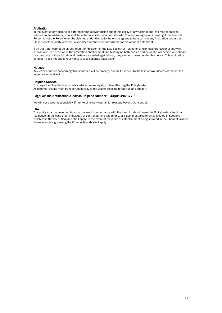#### Arbitration

In the event of any dispute or difference whatsoever arising out of this policy or any Claim made, the matter shall be referred to an arbitrator, who shall be either a solicitor or a barrister who You and we agree on in writing. If the Insured Person is not the Policyholder, by claiming under this policy he or she agrees to be a party to any Arbitration under this Clause whether jointly with the Policyholder or otherwise and whether as claimant or defendant.

If an arbitrator cannot be agreed then the President of the Law Society of Ireland or similar legal professional body will choose one. The decision of the arbitration shall be final and binding on both parties and he or she will decide who should pay the costs of the arbitration. If costs are awarded against You, they are not covered under this policy. This arbitration condition does not affect Your rights to take separate legal action.

#### **Notices**

Any letter or notice concerning this insurance will be properly issued if it is sent to the last known address of the person intended to receive it.

#### Helpline Service

The Legal Helpline Service provides advice on any legal problem affecting the Policyholder. All potential claims must be reported initially to the Claims Helpline for advice and support.

#### Legal Claims Notification & Advice Helpline Number: +44(0)1384 377000.

We will not accept responsibility if the Helpline services fail for reasons beyond Our control.

#### Law

This policy shall be governed by and construed in accordance with the Law of Ireland unless the Policyholder's habitual residence (in the case of an individual) or central administration and/or place of establishment is located in Scotland in which case the law of Scotland shall apply. In the event of the place of establishment being situated in the Channel Islands the relevant law governing the Channel Islands shall apply.